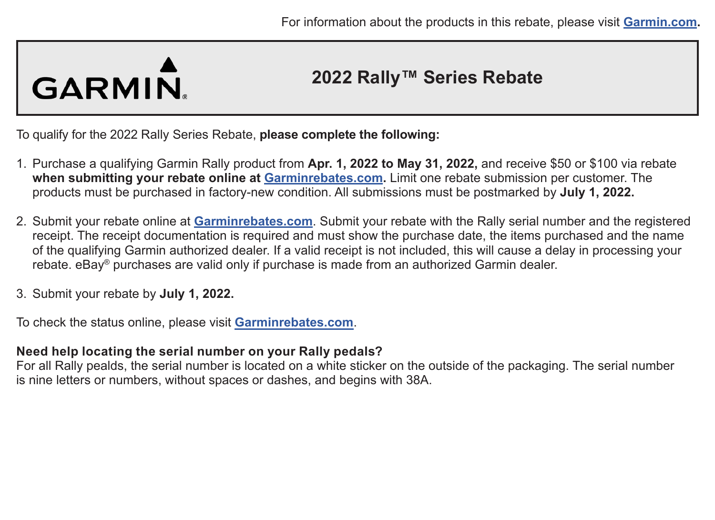# GARMIN.

### **2022 Rally™ Series Rebate**

To qualify for the 2022 Rally Series Rebate, **please complete the following:**

- 1. Purchase a qualifying Garmin Rally product from **Apr. 1, 2022 to May 31, 2022,** and receive \$50 or \$100 via rebate **when submitting your rebate online at [Garminrebates.com](https://www.garminrebates.com/).** Limit one rebate submission per customer. The products must be purchased in factory-new condition. All submissions must be postmarked by **July 1, 2022.**
- 2. Submit your rebate online at **[Garminrebates.com](https://www.garminrebates.com/)**. Submit your rebate with the Rally serial number and the registered receipt. The receipt documentation is required and must show the purchase date, the items purchased and the name of the qualifying Garmin authorized dealer. If a valid receipt is not included, this will cause a delay in processing your rebate. eBay® purchases are valid only if purchase is made from an authorized Garmin dealer.
- 3. Submit your rebate by **July 1, 2022.**

To check the status online, please visit **[Garminrebates.com](https://www.garminrebates.com/)**.

#### **Need help locating the serial number on your Rally pedals?**

For all Rally pealds, the serial number is located on a white sticker on the outside of the packaging. The serial number is nine letters or numbers, without spaces or dashes, and begins with 38A.